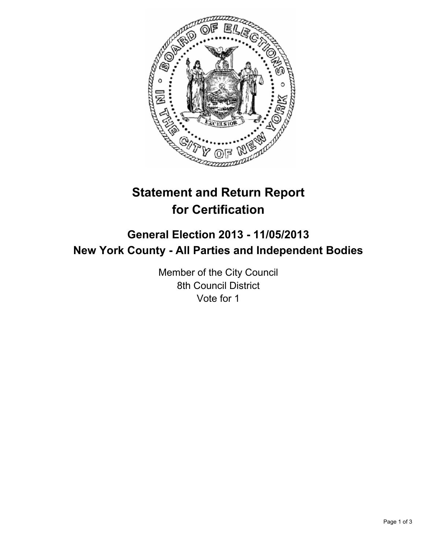

# **Statement and Return Report for Certification**

## **General Election 2013 - 11/05/2013 New York County - All Parties and Independent Bodies**

Member of the City Council 8th Council District Vote for 1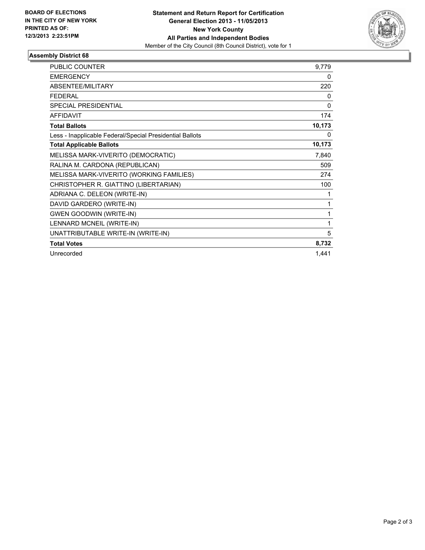

### **Assembly District 68**

| <b>PUBLIC COUNTER</b>                                    | 9,779        |
|----------------------------------------------------------|--------------|
| <b>EMERGENCY</b>                                         | 0            |
| ABSENTEE/MILITARY                                        | 220          |
| <b>FEDERAL</b>                                           | 0            |
| <b>SPECIAL PRESIDENTIAL</b>                              | $\mathbf{0}$ |
| <b>AFFIDAVIT</b>                                         | 174          |
| <b>Total Ballots</b>                                     | 10,173       |
| Less - Inapplicable Federal/Special Presidential Ballots | 0            |
| <b>Total Applicable Ballots</b>                          | 10,173       |
| MELISSA MARK-VIVERITO (DEMOCRATIC)                       | 7,840        |
| RALINA M. CARDONA (REPUBLICAN)                           | 509          |
| MELISSA MARK-VIVERITO (WORKING FAMILIES)                 | 274          |
| CHRISTOPHER R. GIATTINO (LIBERTARIAN)                    | 100          |
| ADRIANA C. DELEON (WRITE-IN)                             | 1            |
| DAVID GARDERO (WRITE-IN)                                 | 1            |
| <b>GWEN GOODWIN (WRITE-IN)</b>                           | 1            |
| LENNARD MCNEIL (WRITE-IN)                                | 1            |
| UNATTRIBUTABLE WRITE-IN (WRITE-IN)                       | 5            |
| <b>Total Votes</b>                                       | 8,732        |
| Unrecorded                                               | 1,441        |